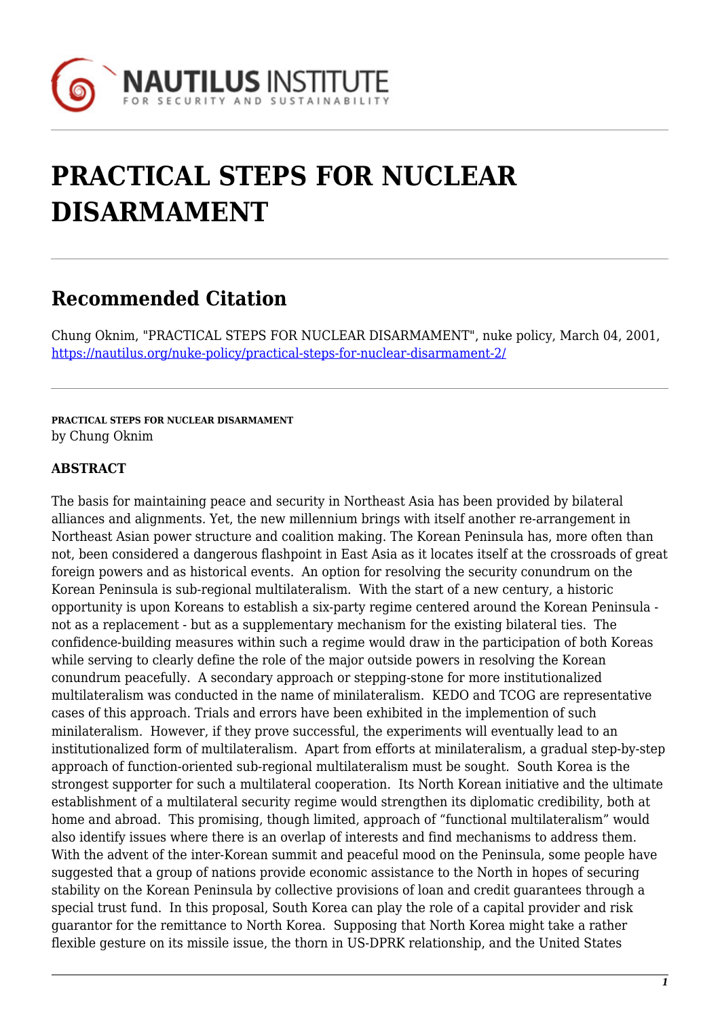

# **PRACTICAL STEPS FOR NUCLEAR DISARMAMENT**

# **Recommended Citation**

Chung Oknim, "PRACTICAL STEPS FOR NUCLEAR DISARMAMENT", nuke policy, March 04, 2001, <https://nautilus.org/nuke-policy/practical-steps-for-nuclear-disarmament-2/>

**PRACTICAL STEPS FOR NUCLEAR DISARMAMENT** by Chung Oknim

#### **ABSTRACT**

The basis for maintaining peace and security in Northeast Asia has been provided by bilateral alliances and alignments. Yet, the new millennium brings with itself another re-arrangement in Northeast Asian power structure and coalition making. The Korean Peninsula has, more often than not, been considered a dangerous flashpoint in East Asia as it locates itself at the crossroads of great foreign powers and as historical events. An option for resolving the security conundrum on the Korean Peninsula is sub-regional multilateralism. With the start of a new century, a historic opportunity is upon Koreans to establish a six-party regime centered around the Korean Peninsula not as a replacement - but as a supplementary mechanism for the existing bilateral ties. The confidence-building measures within such a regime would draw in the participation of both Koreas while serving to clearly define the role of the major outside powers in resolving the Korean conundrum peacefully. A secondary approach or stepping-stone for more institutionalized multilateralism was conducted in the name of minilateralism. KEDO and TCOG are representative cases of this approach. Trials and errors have been exhibited in the implemention of such minilateralism. However, if they prove successful, the experiments will eventually lead to an institutionalized form of multilateralism. Apart from efforts at minilateralism, a gradual step-by-step approach of function-oriented sub-regional multilateralism must be sought. South Korea is the strongest supporter for such a multilateral cooperation. Its North Korean initiative and the ultimate establishment of a multilateral security regime would strengthen its diplomatic credibility, both at home and abroad. This promising, though limited, approach of "functional multilateralism" would also identify issues where there is an overlap of interests and find mechanisms to address them. With the advent of the inter-Korean summit and peaceful mood on the Peninsula, some people have suggested that a group of nations provide economic assistance to the North in hopes of securing stability on the Korean Peninsula by collective provisions of loan and credit guarantees through a special trust fund. In this proposal, South Korea can play the role of a capital provider and risk guarantor for the remittance to North Korea. Supposing that North Korea might take a rather flexible gesture on its missile issue, the thorn in US-DPRK relationship, and the United States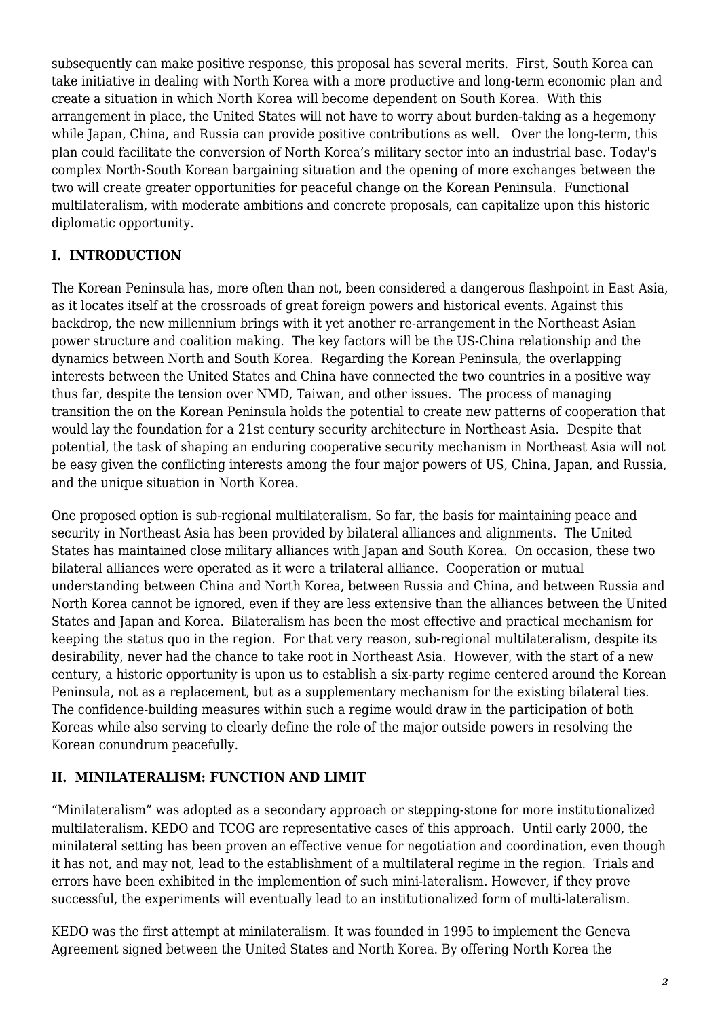subsequently can make positive response, this proposal has several merits. First, South Korea can take initiative in dealing with North Korea with a more productive and long-term economic plan and create a situation in which North Korea will become dependent on South Korea. With this arrangement in place, the United States will not have to worry about burden-taking as a hegemony while Japan, China, and Russia can provide positive contributions as well. Over the long-term, this plan could facilitate the conversion of North Korea's military sector into an industrial base. Today's complex North-South Korean bargaining situation and the opening of more exchanges between the two will create greater opportunities for peaceful change on the Korean Peninsula. Functional multilateralism, with moderate ambitions and concrete proposals, can capitalize upon this historic diplomatic opportunity.

## **I. INTRODUCTION**

The Korean Peninsula has, more often than not, been considered a dangerous flashpoint in East Asia, as it locates itself at the crossroads of great foreign powers and historical events. Against this backdrop, the new millennium brings with it yet another re-arrangement in the Northeast Asian power structure and coalition making. The key factors will be the US-China relationship and the dynamics between North and South Korea. Regarding the Korean Peninsula, the overlapping interests between the United States and China have connected the two countries in a positive way thus far, despite the tension over NMD, Taiwan, and other issues. The process of managing transition the on the Korean Peninsula holds the potential to create new patterns of cooperation that would lay the foundation for a 21st century security architecture in Northeast Asia. Despite that potential, the task of shaping an enduring cooperative security mechanism in Northeast Asia will not be easy given the conflicting interests among the four major powers of US, China, Japan, and Russia, and the unique situation in North Korea.

One proposed option is sub-regional multilateralism. So far, the basis for maintaining peace and security in Northeast Asia has been provided by bilateral alliances and alignments. The United States has maintained close military alliances with Japan and South Korea. On occasion, these two bilateral alliances were operated as it were a trilateral alliance. Cooperation or mutual understanding between China and North Korea, between Russia and China, and between Russia and North Korea cannot be ignored, even if they are less extensive than the alliances between the United States and Japan and Korea. Bilateralism has been the most effective and practical mechanism for keeping the status quo in the region. For that very reason, sub-regional multilateralism, despite its desirability, never had the chance to take root in Northeast Asia. However, with the start of a new century, a historic opportunity is upon us to establish a six-party regime centered around the Korean Peninsula, not as a replacement, but as a supplementary mechanism for the existing bilateral ties. The confidence-building measures within such a regime would draw in the participation of both Koreas while also serving to clearly define the role of the major outside powers in resolving the Korean conundrum peacefully.

#### **II. MINILATERALISM: FUNCTION AND LIMIT**

"Minilateralism" was adopted as a secondary approach or stepping-stone for more institutionalized multilateralism. KEDO and TCOG are representative cases of this approach. Until early 2000, the minilateral setting has been proven an effective venue for negotiation and coordination, even though it has not, and may not, lead to the establishment of a multilateral regime in the region. Trials and errors have been exhibited in the implemention of such mini-lateralism. However, if they prove successful, the experiments will eventually lead to an institutionalized form of multi-lateralism.

KEDO was the first attempt at minilateralism. It was founded in 1995 to implement the Geneva Agreement signed between the United States and North Korea. By offering North Korea the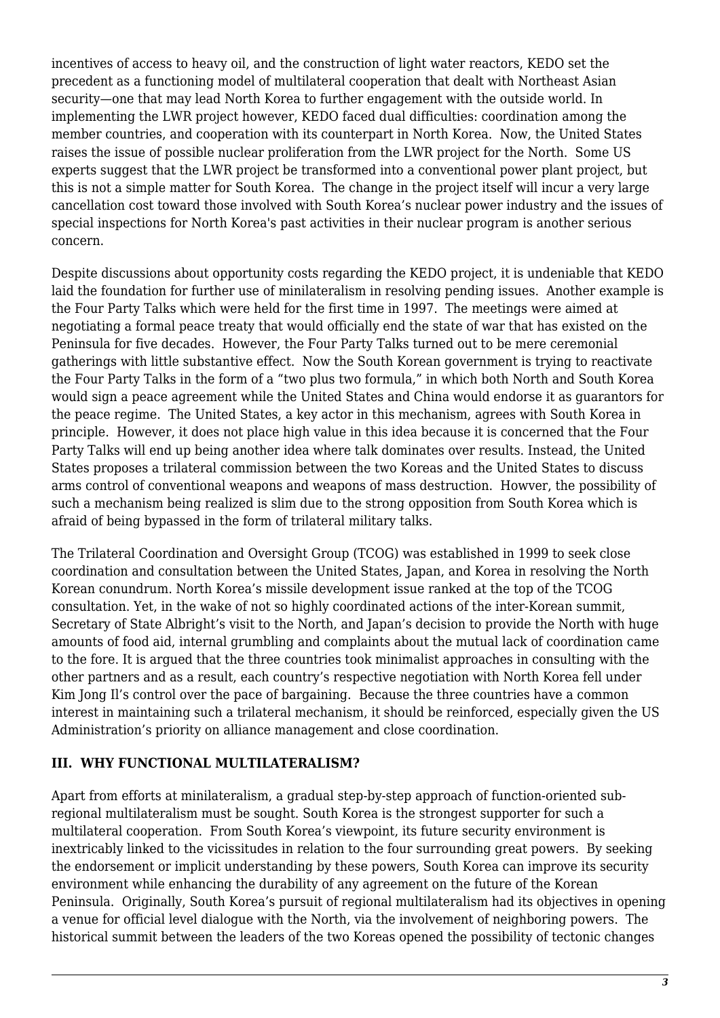incentives of access to heavy oil, and the construction of light water reactors, KEDO set the precedent as a functioning model of multilateral cooperation that dealt with Northeast Asian security—one that may lead North Korea to further engagement with the outside world. In implementing the LWR project however, KEDO faced dual difficulties: coordination among the member countries, and cooperation with its counterpart in North Korea. Now, the United States raises the issue of possible nuclear proliferation from the LWR project for the North. Some US experts suggest that the LWR project be transformed into a conventional power plant project, but this is not a simple matter for South Korea. The change in the project itself will incur a very large cancellation cost toward those involved with South Korea's nuclear power industry and the issues of special inspections for North Korea's past activities in their nuclear program is another serious concern.

Despite discussions about opportunity costs regarding the KEDO project, it is undeniable that KEDO laid the foundation for further use of minilateralism in resolving pending issues. Another example is the Four Party Talks which were held for the first time in 1997. The meetings were aimed at negotiating a formal peace treaty that would officially end the state of war that has existed on the Peninsula for five decades. However, the Four Party Talks turned out to be mere ceremonial gatherings with little substantive effect. Now the South Korean government is trying to reactivate the Four Party Talks in the form of a "two plus two formula," in which both North and South Korea would sign a peace agreement while the United States and China would endorse it as guarantors for the peace regime. The United States, a key actor in this mechanism, agrees with South Korea in principle. However, it does not place high value in this idea because it is concerned that the Four Party Talks will end up being another idea where talk dominates over results. Instead, the United States proposes a trilateral commission between the two Koreas and the United States to discuss arms control of conventional weapons and weapons of mass destruction. Howver, the possibility of such a mechanism being realized is slim due to the strong opposition from South Korea which is afraid of being bypassed in the form of trilateral military talks.

The Trilateral Coordination and Oversight Group (TCOG) was established in 1999 to seek close coordination and consultation between the United States, Japan, and Korea in resolving the North Korean conundrum. North Korea's missile development issue ranked at the top of the TCOG consultation. Yet, in the wake of not so highly coordinated actions of the inter-Korean summit, Secretary of State Albright's visit to the North, and Japan's decision to provide the North with huge amounts of food aid, internal grumbling and complaints about the mutual lack of coordination came to the fore. It is argued that the three countries took minimalist approaches in consulting with the other partners and as a result, each country's respective negotiation with North Korea fell under Kim Jong II's control over the pace of bargaining. Because the three countries have a common interest in maintaining such a trilateral mechanism, it should be reinforced, especially given the US Administration's priority on alliance management and close coordination.

#### **III. WHY FUNCTIONAL MULTILATERALISM?**

Apart from efforts at minilateralism, a gradual step-by-step approach of function-oriented subregional multilateralism must be sought. South Korea is the strongest supporter for such a multilateral cooperation. From South Korea's viewpoint, its future security environment is inextricably linked to the vicissitudes in relation to the four surrounding great powers. By seeking the endorsement or implicit understanding by these powers, South Korea can improve its security environment while enhancing the durability of any agreement on the future of the Korean Peninsula. Originally, South Korea's pursuit of regional multilateralism had its objectives in opening a venue for official level dialogue with the North, via the involvement of neighboring powers. The historical summit between the leaders of the two Koreas opened the possibility of tectonic changes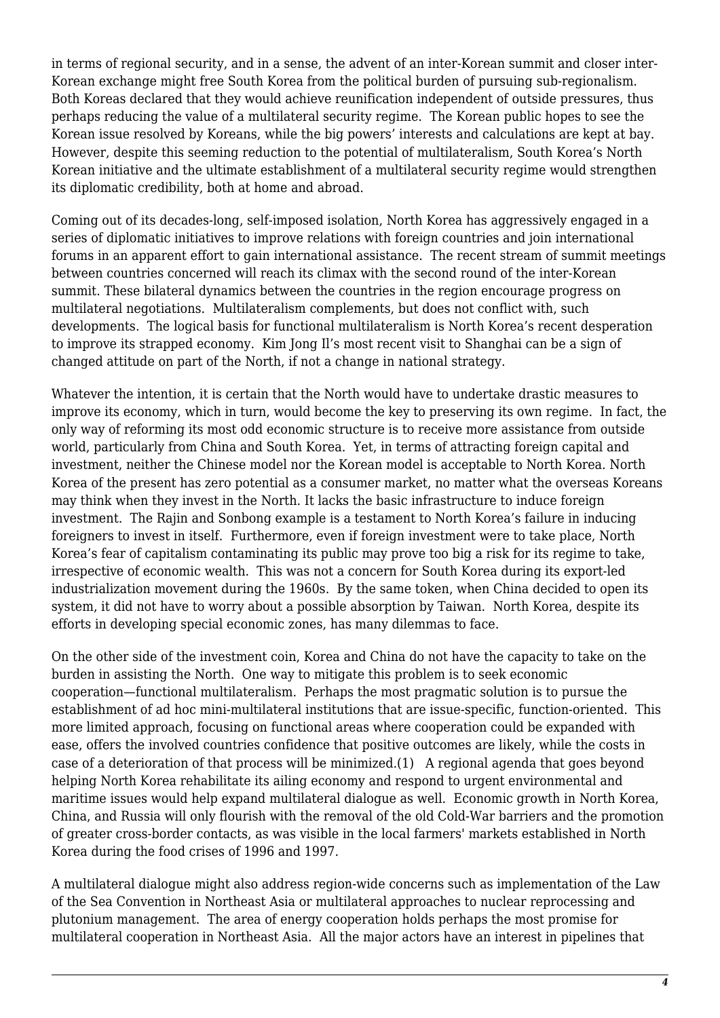in terms of regional security, and in a sense, the advent of an inter-Korean summit and closer inter-Korean exchange might free South Korea from the political burden of pursuing sub-regionalism. Both Koreas declared that they would achieve reunification independent of outside pressures, thus perhaps reducing the value of a multilateral security regime. The Korean public hopes to see the Korean issue resolved by Koreans, while the big powers' interests and calculations are kept at bay. However, despite this seeming reduction to the potential of multilateralism, South Korea's North Korean initiative and the ultimate establishment of a multilateral security regime would strengthen its diplomatic credibility, both at home and abroad.

Coming out of its decades-long, self-imposed isolation, North Korea has aggressively engaged in a series of diplomatic initiatives to improve relations with foreign countries and join international forums in an apparent effort to gain international assistance. The recent stream of summit meetings between countries concerned will reach its climax with the second round of the inter-Korean summit. These bilateral dynamics between the countries in the region encourage progress on multilateral negotiations. Multilateralism complements, but does not conflict with, such developments. The logical basis for functional multilateralism is North Korea's recent desperation to improve its strapped economy. Kim Jong Il's most recent visit to Shanghai can be a sign of changed attitude on part of the North, if not a change in national strategy.

Whatever the intention, it is certain that the North would have to undertake drastic measures to improve its economy, which in turn, would become the key to preserving its own regime. In fact, the only way of reforming its most odd economic structure is to receive more assistance from outside world, particularly from China and South Korea. Yet, in terms of attracting foreign capital and investment, neither the Chinese model nor the Korean model is acceptable to North Korea. North Korea of the present has zero potential as a consumer market, no matter what the overseas Koreans may think when they invest in the North. It lacks the basic infrastructure to induce foreign investment. The Rajin and Sonbong example is a testament to North Korea's failure in inducing foreigners to invest in itself. Furthermore, even if foreign investment were to take place, North Korea's fear of capitalism contaminating its public may prove too big a risk for its regime to take, irrespective of economic wealth. This was not a concern for South Korea during its export-led industrialization movement during the 1960s. By the same token, when China decided to open its system, it did not have to worry about a possible absorption by Taiwan. North Korea, despite its efforts in developing special economic zones, has many dilemmas to face.

On the other side of the investment coin, Korea and China do not have the capacity to take on the burden in assisting the North. One way to mitigate this problem is to seek economic cooperation—functional multilateralism. Perhaps the most pragmatic solution is to pursue the establishment of ad hoc mini-multilateral institutions that are issue-specific, function-oriented. This more limited approach, focusing on functional areas where cooperation could be expanded with ease, offers the involved countries confidence that positive outcomes are likely, while the costs in case of a deterioration of that process will be minimized.(1) A regional agenda that goes beyond helping North Korea rehabilitate its ailing economy and respond to urgent environmental and maritime issues would help expand multilateral dialogue as well. Economic growth in North Korea, China, and Russia will only flourish with the removal of the old Cold-War barriers and the promotion of greater cross-border contacts, as was visible in the local farmers' markets established in North Korea during the food crises of 1996 and 1997.

A multilateral dialogue might also address region-wide concerns such as implementation of the Law of the Sea Convention in Northeast Asia or multilateral approaches to nuclear reprocessing and plutonium management. The area of energy cooperation holds perhaps the most promise for multilateral cooperation in Northeast Asia. All the major actors have an interest in pipelines that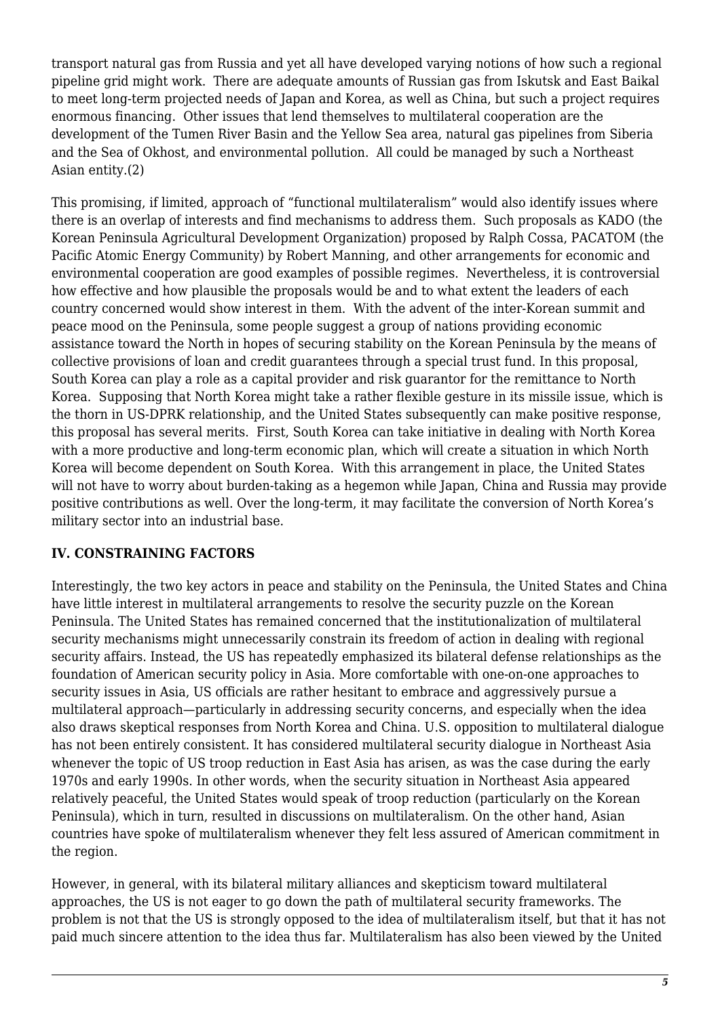transport natural gas from Russia and yet all have developed varying notions of how such a regional pipeline grid might work. There are adequate amounts of Russian gas from Iskutsk and East Baikal to meet long-term projected needs of Japan and Korea, as well as China, but such a project requires enormous financing. Other issues that lend themselves to multilateral cooperation are the development of the Tumen River Basin and the Yellow Sea area, natural gas pipelines from Siberia and the Sea of Okhost, and environmental pollution. All could be managed by such a Northeast Asian entity.(2)

This promising, if limited, approach of "functional multilateralism" would also identify issues where there is an overlap of interests and find mechanisms to address them. Such proposals as KADO (the Korean Peninsula Agricultural Development Organization) proposed by Ralph Cossa, PACATOM (the Pacific Atomic Energy Community) by Robert Manning, and other arrangements for economic and environmental cooperation are good examples of possible regimes. Nevertheless, it is controversial how effective and how plausible the proposals would be and to what extent the leaders of each country concerned would show interest in them. With the advent of the inter-Korean summit and peace mood on the Peninsula, some people suggest a group of nations providing economic assistance toward the North in hopes of securing stability on the Korean Peninsula by the means of collective provisions of loan and credit guarantees through a special trust fund. In this proposal, South Korea can play a role as a capital provider and risk guarantor for the remittance to North Korea. Supposing that North Korea might take a rather flexible gesture in its missile issue, which is the thorn in US-DPRK relationship, and the United States subsequently can make positive response, this proposal has several merits. First, South Korea can take initiative in dealing with North Korea with a more productive and long-term economic plan, which will create a situation in which North Korea will become dependent on South Korea. With this arrangement in place, the United States will not have to worry about burden-taking as a hegemon while Japan, China and Russia may provide positive contributions as well. Over the long-term, it may facilitate the conversion of North Korea's military sector into an industrial base.

#### **IV. CONSTRAINING FACTORS**

Interestingly, the two key actors in peace and stability on the Peninsula, the United States and China have little interest in multilateral arrangements to resolve the security puzzle on the Korean Peninsula. The United States has remained concerned that the institutionalization of multilateral security mechanisms might unnecessarily constrain its freedom of action in dealing with regional security affairs. Instead, the US has repeatedly emphasized its bilateral defense relationships as the foundation of American security policy in Asia. More comfortable with one-on-one approaches to security issues in Asia, US officials are rather hesitant to embrace and aggressively pursue a multilateral approach—particularly in addressing security concerns, and especially when the idea also draws skeptical responses from North Korea and China. U.S. opposition to multilateral dialogue has not been entirely consistent. It has considered multilateral security dialogue in Northeast Asia whenever the topic of US troop reduction in East Asia has arisen, as was the case during the early 1970s and early 1990s. In other words, when the security situation in Northeast Asia appeared relatively peaceful, the United States would speak of troop reduction (particularly on the Korean Peninsula), which in turn, resulted in discussions on multilateralism. On the other hand, Asian countries have spoke of multilateralism whenever they felt less assured of American commitment in the region.

However, in general, with its bilateral military alliances and skepticism toward multilateral approaches, the US is not eager to go down the path of multilateral security frameworks. The problem is not that the US is strongly opposed to the idea of multilateralism itself, but that it has not paid much sincere attention to the idea thus far. Multilateralism has also been viewed by the United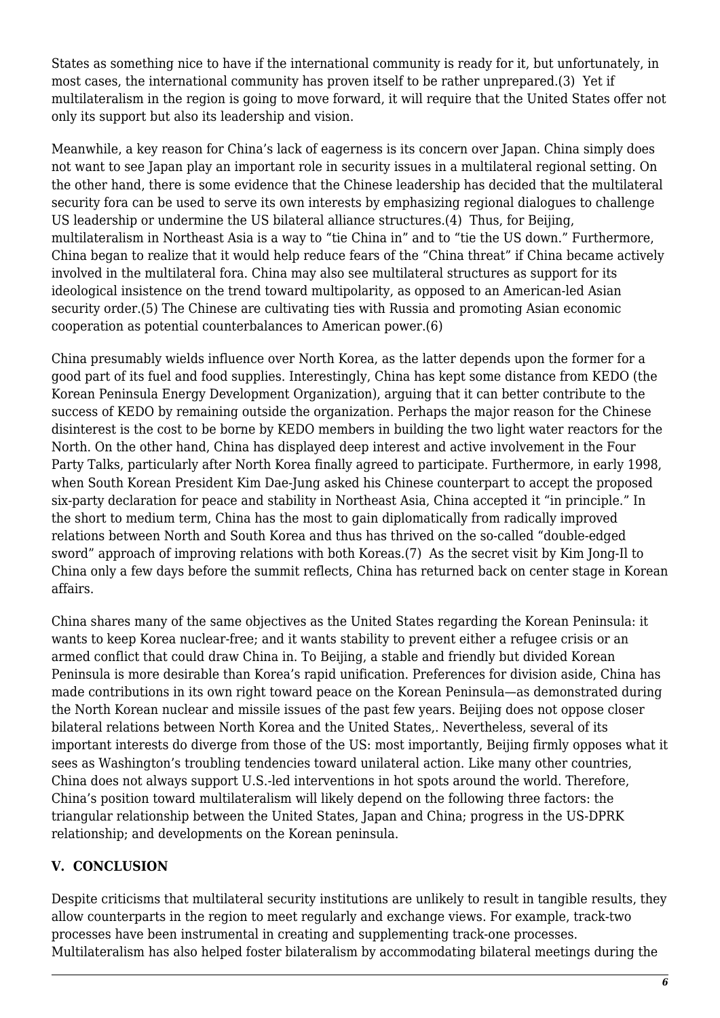States as something nice to have if the international community is ready for it, but unfortunately, in most cases, the international community has proven itself to be rather unprepared.(3) Yet if multilateralism in the region is going to move forward, it will require that the United States offer not only its support but also its leadership and vision.

Meanwhile, a key reason for China's lack of eagerness is its concern over Japan. China simply does not want to see Japan play an important role in security issues in a multilateral regional setting. On the other hand, there is some evidence that the Chinese leadership has decided that the multilateral security fora can be used to serve its own interests by emphasizing regional dialogues to challenge US leadership or undermine the US bilateral alliance structures.(4) Thus, for Beijing, multilateralism in Northeast Asia is a way to "tie China in" and to "tie the US down." Furthermore, China began to realize that it would help reduce fears of the "China threat" if China became actively involved in the multilateral fora. China may also see multilateral structures as support for its ideological insistence on the trend toward multipolarity, as opposed to an American-led Asian security order.(5) The Chinese are cultivating ties with Russia and promoting Asian economic cooperation as potential counterbalances to American power.(6)

China presumably wields influence over North Korea, as the latter depends upon the former for a good part of its fuel and food supplies. Interestingly, China has kept some distance from KEDO (the Korean Peninsula Energy Development Organization), arguing that it can better contribute to the success of KEDO by remaining outside the organization. Perhaps the major reason for the Chinese disinterest is the cost to be borne by KEDO members in building the two light water reactors for the North. On the other hand, China has displayed deep interest and active involvement in the Four Party Talks, particularly after North Korea finally agreed to participate. Furthermore, in early 1998, when South Korean President Kim Dae-Jung asked his Chinese counterpart to accept the proposed six-party declaration for peace and stability in Northeast Asia, China accepted it "in principle." In the short to medium term, China has the most to gain diplomatically from radically improved relations between North and South Korea and thus has thrived on the so-called "double-edged sword" approach of improving relations with both Koreas.(7) As the secret visit by Kim Jong-Il to China only a few days before the summit reflects, China has returned back on center stage in Korean affairs.

China shares many of the same objectives as the United States regarding the Korean Peninsula: it wants to keep Korea nuclear-free; and it wants stability to prevent either a refugee crisis or an armed conflict that could draw China in. To Beijing, a stable and friendly but divided Korean Peninsula is more desirable than Korea's rapid unification. Preferences for division aside, China has made contributions in its own right toward peace on the Korean Peninsula—as demonstrated during the North Korean nuclear and missile issues of the past few years. Beijing does not oppose closer bilateral relations between North Korea and the United States,. Nevertheless, several of its important interests do diverge from those of the US: most importantly, Beijing firmly opposes what it sees as Washington's troubling tendencies toward unilateral action. Like many other countries, China does not always support U.S.-led interventions in hot spots around the world. Therefore, China's position toward multilateralism will likely depend on the following three factors: the triangular relationship between the United States, Japan and China; progress in the US-DPRK relationship; and developments on the Korean peninsula.

## **V. CONCLUSION**

Despite criticisms that multilateral security institutions are unlikely to result in tangible results, they allow counterparts in the region to meet regularly and exchange views. For example, track-two processes have been instrumental in creating and supplementing track-one processes. Multilateralism has also helped foster bilateralism by accommodating bilateral meetings during the